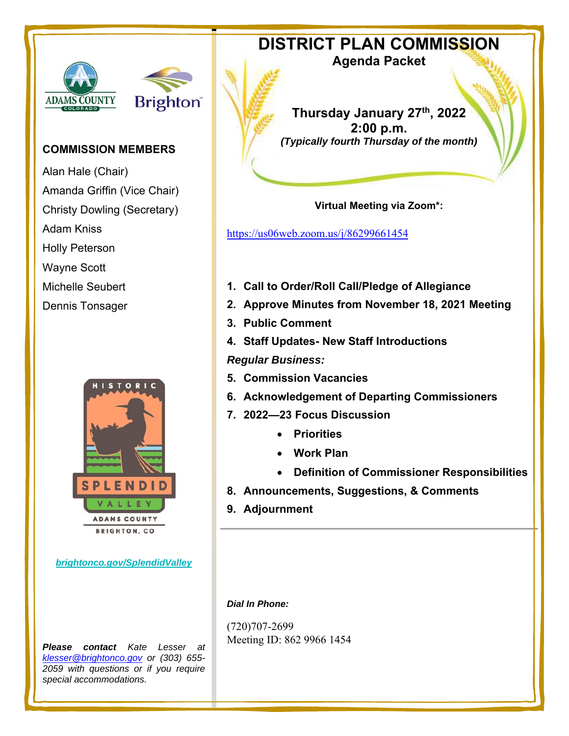# 



# **COMMISSION MEMBERS**

Alan Hale (Chair) Amanda Griffin (Vice Chair) Christy Dowling (Secretary) Adam Kniss Holly Peterson Wayne Scott Michelle Seubert Dennis Tonsager



*brightonco.gov/SplendidValley* 

*Please contact Kate Lesser at klesser@brightonco.gov or (303) 655- 2059 with questions or if you require special accommodations.* 

**DISTRICT PLAN COMMISSION** 

**Agenda Packet** 

**Thursday January 27th, 2022 2:00 p.m.**  *(Typically fourth Thursday of the month)* 

**Virtual Meeting via Zoom\*:** 

https://us06web.zoom.us/j/86299661454

- **1. Call to Order/Roll Call/Pledge of Allegiance**
- **2. Approve Minutes from November 18, 2021 Meeting**
- **3. Public Comment**
- **4. Staff Updates- New Staff Introductions**

*Regular Business:* 

- **5. Commission Vacancies**
- **6. Acknowledgement of Departing Commissioners**
- **7. 2022—23 Focus Discussion** 
	- **Priorities**
	- **Work Plan**
	- **Definition of Commissioner Responsibilities**
- **8. Announcements, Suggestions, & Comments**
- **9. Adjournment**

*Dial In Phone:* 

(720)707-2699 Meeting ID: 862 9966 1454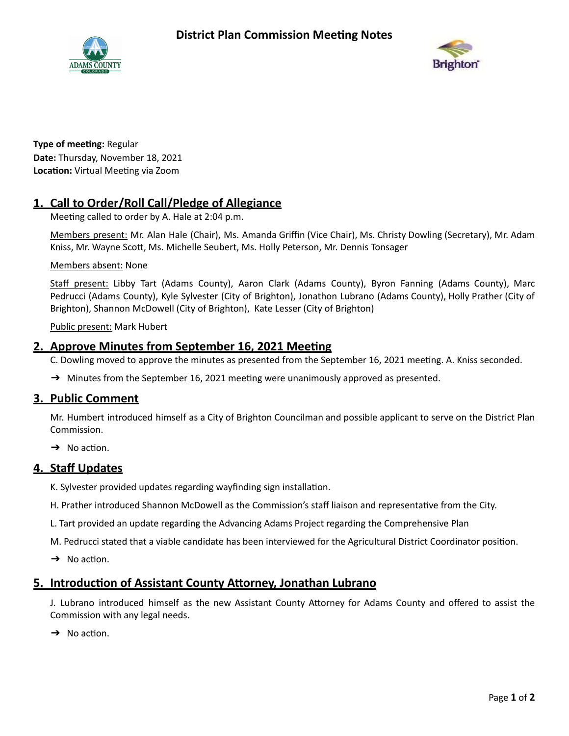



**Type of meeting: Regular Date:** Thursday, November 18, 2021 **Location:** Virtual Meeting via Zoom

# **1. Call to Order/Roll Call/Pledge of Allegiance**

Meeting called to order by A. Hale at 2:04 p.m.

Members present: Mr. Alan Hale (Chair), Ms. Amanda Griffin (Vice Chair), Ms. Christy Dowling (Secretary), Mr. Adam Kniss, Mr. Wayne Scott, Ms. Michelle Seubert, Ms. Holly Peterson, Mr. Dennis Tonsager

Members absent: None

Staff present: Libby Tart (Adams County), Aaron Clark (Adams County), Byron Fanning (Adams County), Marc Pedrucci (Adams County), Kyle Sylvester (City of Brighton), Jonathon Lubrano (Adams County), Holly Prather (City of Brighton), Shannon McDowell (City of Brighton), Kate Lesser (City of Brighton)

Public present: Mark Hubert

### **2. Approve Minutes from September 16, 2021 Meeting**

C. Dowling moved to approve the minutes as presented from the September 16, 2021 meeting. A. Kniss seconded.

 $\rightarrow$  Minutes from the September 16, 2021 meeting were unanimously approved as presented.

### **3. Public Comment**

Mr. Humbert introduced himself as a City of Brighton Councilman and possible applicant to serve on the District Plan Commission.

 $\rightarrow$  No action.

### **4. Staff Updates**

K. Sylvester provided updates regarding wayfinding sign installation.

H. Prather introduced Shannon McDowell as the Commission's staff liaison and representative from the City.

L. Tart provided an update regarding the Advancing Adams Project regarding the Comprehensive Plan

M. Pedrucci stated that a viable candidate has been interviewed for the Agricultural District Coordinator position.

 $\rightarrow$  No action.

### **5. Introduction of Assistant County Attorney, Jonathan Lubrano**

J. Lubrano introduced himself as the new Assistant County Attorney for Adams County and offered to assist the Commission with any legal needs.

 $\rightarrow$  No action.